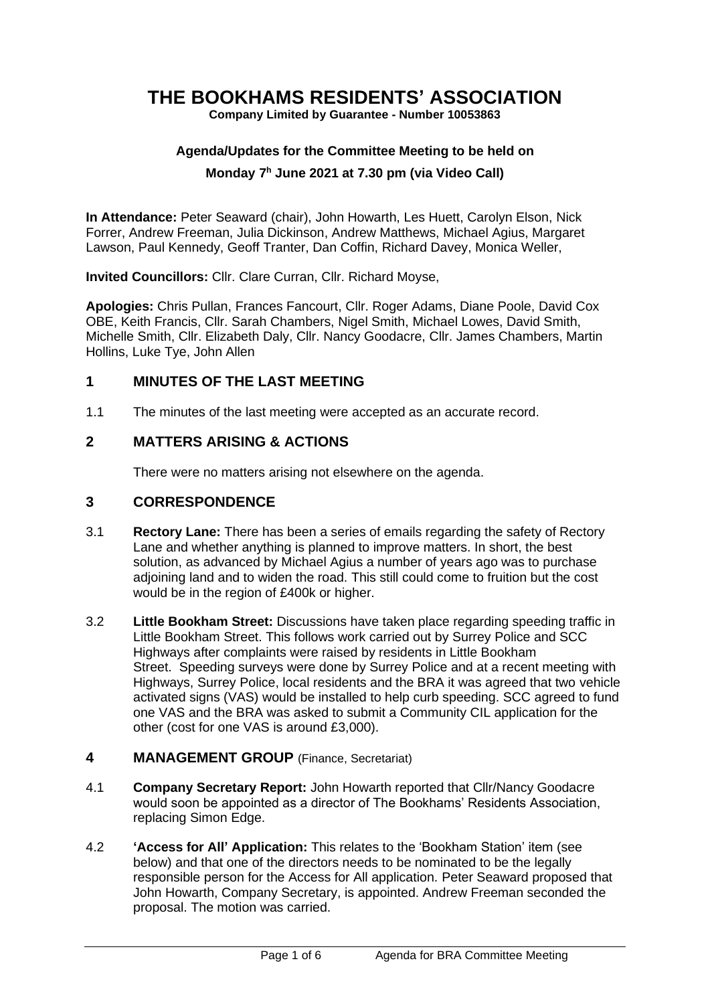# **THE BOOKHAMS RESIDENTS' ASSOCIATION**

**Company Limited by Guarantee - Number 10053863**

# **Agenda/Updates for the Committee Meeting to be held on**

#### **Monday 7 <sup>h</sup> June 2021 at 7.30 pm (via Video Call)**

**In Attendance:** Peter Seaward (chair), John Howarth, Les Huett, Carolyn Elson, Nick Forrer, Andrew Freeman, Julia Dickinson, Andrew Matthews, Michael Agius, Margaret Lawson, Paul Kennedy, Geoff Tranter, Dan Coffin, Richard Davey, Monica Weller,

**Invited Councillors:** Cllr. Clare Curran, Cllr. Richard Moyse,

**Apologies:** Chris Pullan, Frances Fancourt, Cllr. Roger Adams, Diane Poole, David Cox OBE, Keith Francis, Cllr. Sarah Chambers, Nigel Smith, Michael Lowes, David Smith, Michelle Smith, Cllr. Elizabeth Daly, Cllr. Nancy Goodacre, Cllr. James Chambers, Martin Hollins, Luke Tye, John Allen

#### **1 MINUTES OF THE LAST MEETING**

1.1 The minutes of the last meeting were accepted as an accurate record.

# **2 MATTERS ARISING & ACTIONS**

There were no matters arising not elsewhere on the agenda.

#### **3 CORRESPONDENCE**

- 3.1 **Rectory Lane:** There has been a series of emails regarding the safety of Rectory Lane and whether anything is planned to improve matters. In short, the best solution, as advanced by Michael Agius a number of years ago was to purchase adjoining land and to widen the road. This still could come to fruition but the cost would be in the region of £400k or higher.
- 3.2 **Little Bookham Street:** Discussions have taken place regarding speeding traffic in Little Bookham Street. This follows work carried out by Surrey Police and SCC Highways after complaints were raised by residents in Little Bookham Street. Speeding surveys were done by Surrey Police and at a recent meeting with Highways, Surrey Police, local residents and the BRA it was agreed that two vehicle activated signs (VAS) would be installed to help curb speeding. SCC agreed to fund one VAS and the BRA was asked to submit a Community CIL application for the other (cost for one VAS is around £3,000).

#### **4 MANAGEMENT GROUP** (Finance, Secretariat)

- 4.1 **Company Secretary Report:** John Howarth reported that Cllr/Nancy Goodacre would soon be appointed as a director of The Bookhams' Residents Association, replacing Simon Edge.
- 4.2 **'Access for All' Application:** This relates to the 'Bookham Station' item (see below) and that one of the directors needs to be nominated to be the legally responsible person for the Access for All application. Peter Seaward proposed that John Howarth, Company Secretary, is appointed. Andrew Freeman seconded the proposal. The motion was carried.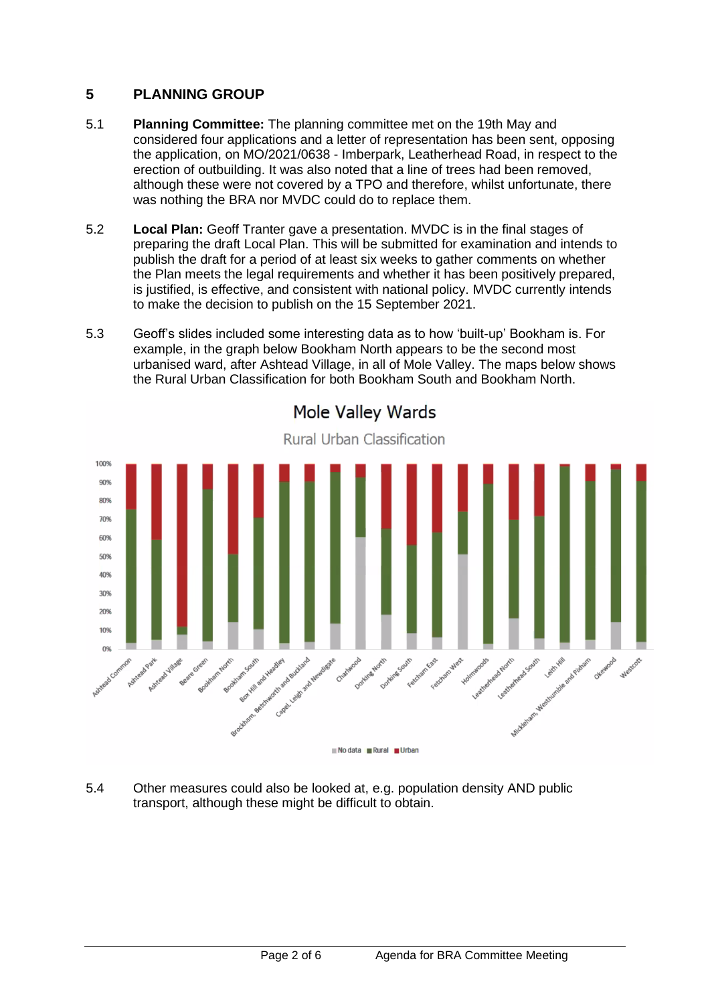# **5 PLANNING GROUP**

- 5.1 **Planning Committee:** The planning committee met on the 19th May and considered four applications and a letter of representation has been sent, opposing the application, on MO/2021/0638 - Imberpark, Leatherhead Road, in respect to the erection of outbuilding. It was also noted that a line of trees had been removed, although these were not covered by a TPO and therefore, whilst unfortunate, there was nothing the BRA nor MVDC could do to replace them.
- 5.2 **Local Plan:** Geoff Tranter gave a presentation. MVDC is in the final stages of preparing the draft Local Plan. This will be submitted for examination and intends to publish the draft for a period of at least six weeks to gather comments on whether the Plan meets the legal requirements and whether it has been positively prepared, is justified, is effective, and consistent with national policy. MVDC currently intends to make the decision to publish on the 15 September 2021.
- 5.3 Geoff's slides included some interesting data as to how 'built-up' Bookham is. For example, in the graph below Bookham North appears to be the second most urbanised ward, after Ashtead Village, in all of Mole Valley. The maps below shows the Rural Urban Classification for both Bookham South and Bookham North.



Mole Valley Wards

5.4 Other measures could also be looked at, e.g. population density AND public transport, although these might be difficult to obtain.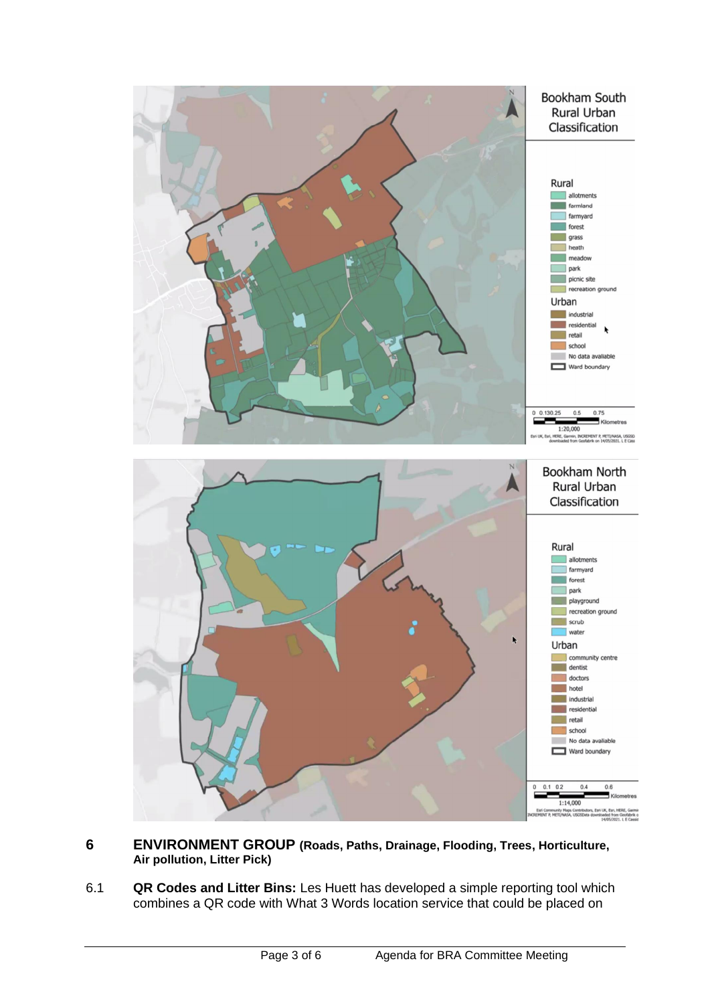

- **6 ENVIRONMENT GROUP (Roads, Paths, Drainage, Flooding, Trees, Horticulture, Air pollution, Litter Pick)**
- 6.1 **QR Codes and Litter Bins:** Les Huett has developed a simple reporting tool which combines a QR code with What 3 Words location service that could be placed on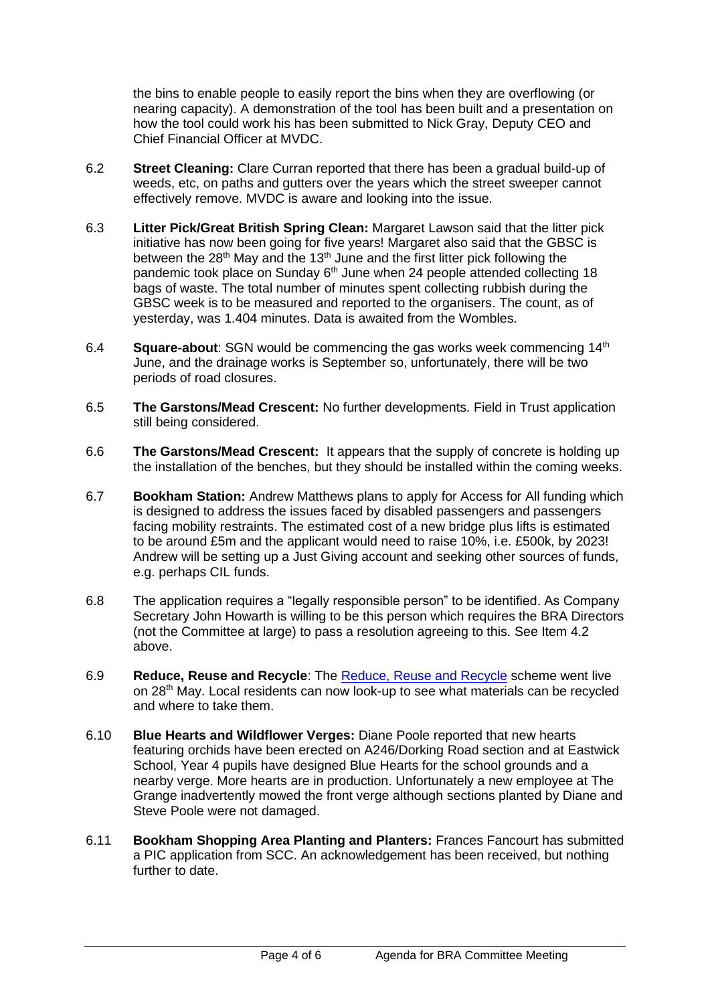the bins to enable people to easily report the bins when they are overflowing (or nearing capacity). A demonstration of the tool has been built and a presentation on how the tool could work his has been submitted to Nick Gray, Deputy CEO and Chief Financial Officer at MVDC.

- 6.2 **Street Cleaning:** Clare Curran reported that there has been a gradual build-up of weeds, etc, on paths and gutters over the years which the street sweeper cannot effectively remove. MVDC is aware and looking into the issue.
- 6.3 **Litter Pick/Great British Spring Clean:** Margaret Lawson said that the litter pick initiative has now been going for five years! Margaret also said that the GBSC is between the 28<sup>th</sup> May and the 13<sup>th</sup> June and the first litter pick following the pandemic took place on Sunday 6<sup>th</sup> June when 24 people attended collecting 18 bags of waste. The total number of minutes spent collecting rubbish during the GBSC week is to be measured and reported to the organisers. The count, as of yesterday, was 1.404 minutes. Data is awaited from the Wombles.
- 6.4 **Square-about**: SGN would be commencing the gas works week commencing 14th June, and the drainage works is September so, unfortunately, there will be two periods of road closures.
- 6.5 **The Garstons/Mead Crescent:** No further developments. Field in Trust application still being considered.
- 6.6 **The Garstons/Mead Crescent:** It appears that the supply of concrete is holding up the installation of the benches, but they should be installed within the coming weeks.
- 6.7 **Bookham Station:** Andrew Matthews plans to apply for Access for All funding which is designed to address the issues faced by disabled passengers and passengers facing mobility restraints. The estimated cost of a new bridge plus lifts is estimated to be around £5m and the applicant would need to raise 10%, i.e. £500k, by 2023! Andrew will be setting up a Just Giving account and seeking other sources of funds, e.g. perhaps CIL funds.
- 6.8 The application requires a "legally responsible person" to be identified. As Company Secretary John Howarth is willing to be this person which requires the BRA Directors (not the Committee at large) to pass a resolution agreeing to this. See Item 4.2 above.
- 6.9 **Reduce, Reuse and Recycle**: The [Reduce, Reuse and Recycle](https://www.bookhamresidents.org.uk/terracycle-drop-offs-near-bookham) scheme went live on 28<sup>th</sup> May. Local residents can now look-up to see what materials can be recycled and where to take them.
- 6.10 **Blue Hearts and Wildflower Verges:** Diane Poole reported that new hearts featuring orchids have been erected on A246/Dorking Road section and at Eastwick School, Year 4 pupils have designed Blue Hearts for the school grounds and a nearby verge. More hearts are in production. Unfortunately a new employee at The Grange inadvertently mowed the front verge although sections planted by Diane and Steve Poole were not damaged.
- 6.11 **Bookham Shopping Area Planting and Planters:** Frances Fancourt has submitted a PIC application from SCC. An acknowledgement has been received, but nothing further to date.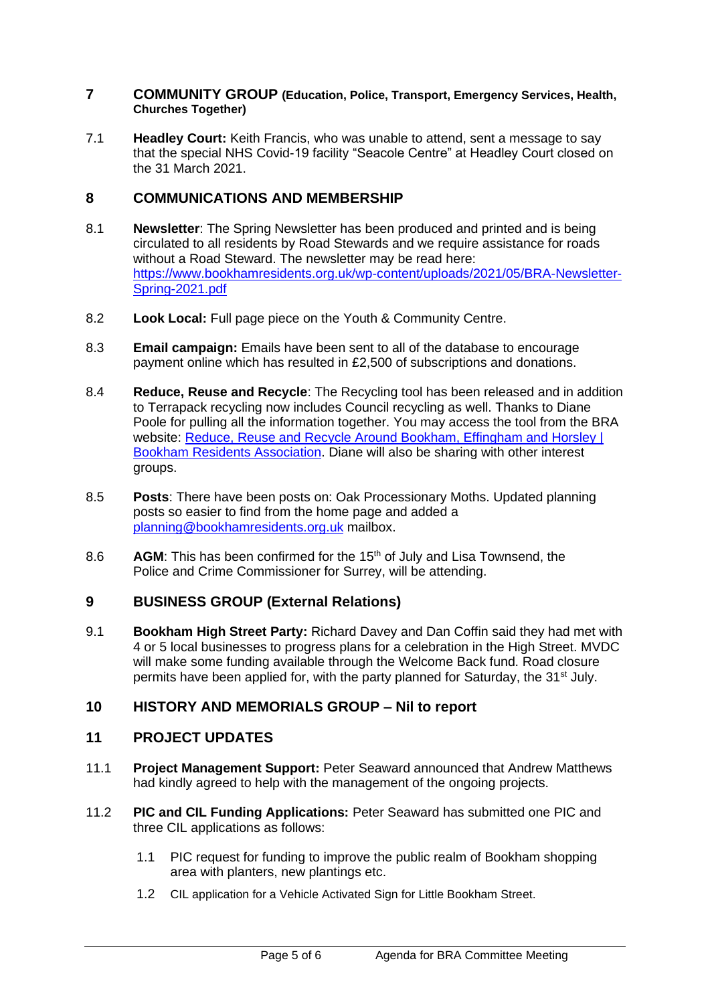#### **7 COMMUNITY GROUP (Education, Police, Transport, Emergency Services, Health, Churches Together)**

7.1 **Headley Court:** Keith Francis, who was unable to attend, sent a message to say that the special NHS Covid-19 facility "Seacole Centre" at Headley Court closed on the 31 March 2021.

# **8 COMMUNICATIONS AND MEMBERSHIP**

- 8.1 **Newsletter**: The Spring Newsletter has been produced and printed and is being circulated to all residents by Road Stewards and we require assistance for roads without a Road Steward. The newsletter may be read here: [https://www.bookhamresidents.org.uk/wp-content/uploads/2021/05/BRA-Newsletter-](https://www.bookhamresidents.org.uk/wp-content/uploads/2021/05/BRA-Newsletter-Spring-2021.pdf)[Spring-2021.pdf](https://www.bookhamresidents.org.uk/wp-content/uploads/2021/05/BRA-Newsletter-Spring-2021.pdf)
- 8.2 **Look Local:** Full page piece on the Youth & Community Centre.
- 8.3 **Email campaign:** Emails have been sent to all of the database to encourage payment online which has resulted in £2,500 of subscriptions and donations.
- 8.4 **Reduce, Reuse and Recycle**: The Recycling tool has been released and in addition to Terrapack recycling now includes Council recycling as well. Thanks to Diane Poole for pulling all the information together. You may access the tool from the BRA website: Reduce, Reuse and Recycle Around Bookham, Effingham and Horsley I [Bookham Residents Association.](https://www.bookhamresidents.org.uk/terracycle-drop-offs-near-bookham) Diane will also be sharing with other interest groups.
- 8.5 **Posts**: There have been posts on: Oak Processionary Moths. Updated planning posts so easier to find from the home page and added a [planning@bookhamresidents.org.uk](mailto:planning@bookhamresidents.org.uk) mailbox.
- 8.6 **AGM**: This has been confirmed for the 15<sup>th</sup> of July and Lisa Townsend, the Police and Crime Commissioner for Surrey, will be attending.

# **9 BUSINESS GROUP (External Relations)**

9.1 **Bookham High Street Party:** Richard Davey and Dan Coffin said they had met with 4 or 5 local businesses to progress plans for a celebration in the High Street. MVDC will make some funding available through the Welcome Back fund. Road closure permits have been applied for, with the party planned for Saturday, the 31<sup>st</sup> July.

# **10 HISTORY AND MEMORIALS GROUP – Nil to report**

# **11 PROJECT UPDATES**

- 11.1 **Project Management Support:** Peter Seaward announced that Andrew Matthews had kindly agreed to help with the management of the ongoing projects.
- 11.2 **PIC and CIL Funding Applications:** Peter Seaward has submitted one PIC and three CIL applications as follows:
	- 1.1 PIC request for funding to improve the public realm of Bookham shopping area with planters, new plantings etc.
	- 1.2 CIL application for a Vehicle Activated Sign for Little Bookham Street.